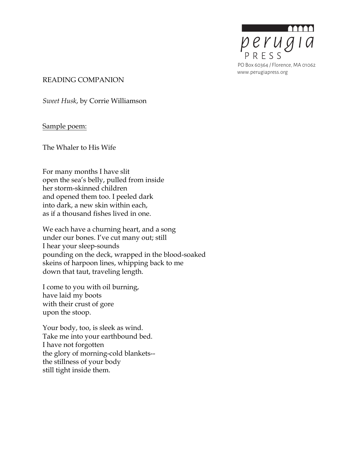

READING COMPANION

*Sweet Husk*, by Corrie Williamson

Sample poem:

The Whaler to His Wife

For many months I have slit open the sea's belly, pulled from inside her storm-skinned children and opened them too. I peeled dark into dark, a new skin within each, as if a thousand fishes lived in one.

We each have a churning heart, and a song under our bones. I've cut many out; still I hear your sleep-sounds pounding on the deck, wrapped in the blood-soaked skeins of harpoon lines, whipping back to me down that taut, traveling length.

I come to you with oil burning, have laid my boots with their crust of gore upon the stoop.

Your body, too, is sleek as wind. Take me into your earthbound bed. I have not forgotten the glory of morning-cold blankets- the stillness of your body still tight inside them.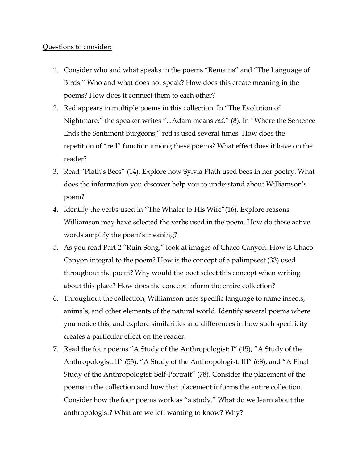## Questions to consider:

- 1. Consider who and what speaks in the poems "Remains" and "The Language of Birds." Who and what does not speak? How does this create meaning in the poems? How does it connect them to each other?
- 2. Red appears in multiple poems in this collection. In "The Evolution of Nightmare," the speaker writes "...Adam means *red*." (8). In "Where the Sentence Ends the Sentiment Burgeons," red is used several times. How does the repetition of "red" function among these poems? What effect does it have on the reader?
- 3. Read "Plath's Bees" (14). Explore how Sylvia Plath used bees in her poetry. What does the information you discover help you to understand about Williamson's poem?
- 4. Identify the verbs used in "The Whaler to His Wife"(16). Explore reasons Williamson may have selected the verbs used in the poem. How do these active words amplify the poem's meaning?
- 5. As you read Part 2 "Ruin Song," look at images of Chaco Canyon. How is Chaco Canyon integral to the poem? How is the concept of a palimpsest (33) used throughout the poem? Why would the poet select this concept when writing about this place? How does the concept inform the entire collection?
- 6. Throughout the collection, Williamson uses specific language to name insects, animals, and other elements of the natural world. Identify several poems where you notice this, and explore similarities and differences in how such specificity creates a particular effect on the reader.
- 7. Read the four poems "A Study of the Anthropologist: I" (15), "A Study of the Anthropologist: II" (53), "A Study of the Anthropologist: III" (68), and "A Final Study of the Anthropologist: Self-Portrait" (78). Consider the placement of the poems in the collection and how that placement informs the entire collection. Consider how the four poems work as "a study." What do we learn about the anthropologist? What are we left wanting to know? Why?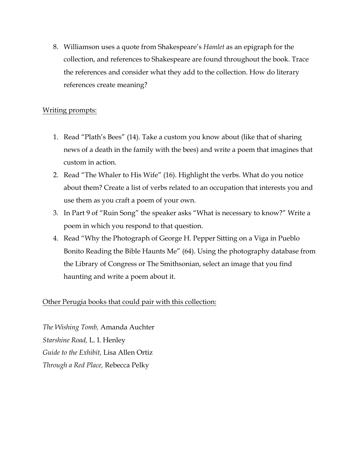8. Williamson uses a quote from Shakespeare's *Hamlet* as an epigraph for the collection, and references to Shakespeare are found throughout the book. Trace the references and consider what they add to the collection. How do literary references create meaning?

## Writing prompts:

- 1. Read "Plath's Bees" (14). Take a custom you know about (like that of sharing news of a death in the family with the bees) and write a poem that imagines that custom in action.
- 2. Read "The Whaler to His Wife" (16). Highlight the verbs. What do you notice about them? Create a list of verbs related to an occupation that interests you and use them as you craft a poem of your own.
- 3. In Part 9 of "Ruin Song" the speaker asks "What is necessary to know?" Write a poem in which you respond to that question.
- 4. Read "Why the Photograph of George H. Pepper Sitting on a Viga in Pueblo Bonito Reading the Bible Haunts Me" (64). Using the photography database from the Library of Congress or The Smithsonian, select an image that you find haunting and write a poem about it.

## Other Perugia books that could pair with this collection:

*The Wishing Tomb,* Amanda Auchter *Starshine Road,* L. I. Henley *Guide to the Exhibit,* Lisa Allen Ortiz *Through a Red Place,* Rebecca Pelky